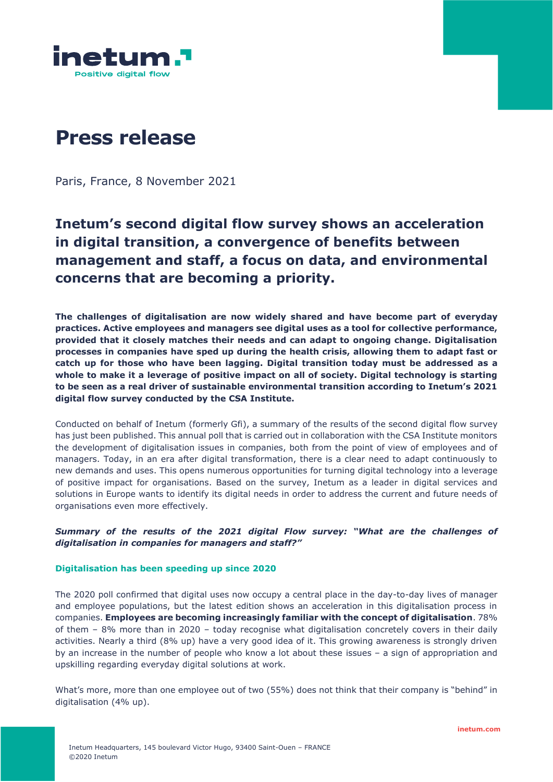

# **Press release**

Paris, France, 8 November 2021

# **Inetum's second digital flow survey shows an acceleration in digital transition, a convergence of benefits between management and staff, a focus on data, and environmental concerns that are becoming a priority.**

**The challenges of digitalisation are now widely shared and have become part of everyday practices. Active employees and managers see digital uses as a tool for collective performance, provided that it closely matches their needs and can adapt to ongoing change. Digitalisation processes in companies have sped up during the health crisis, allowing them to adapt fast or catch up for those who have been lagging. Digital transition today must be addressed as a whole to make it a leverage of positive impact on all of society. Digital technology is starting to be seen as a real driver of sustainable environmental transition according to Inetum's 2021 digital flow survey conducted by the CSA Institute.**

Conducted on behalf of Inetum (formerly Gfi), a summary of the results of the second digital flow survey has just been published. This annual poll that is carried out in collaboration with the CSA Institute monitors the development of digitalisation issues in companies, both from the point of view of employees and of managers. Today, in an era after digital transformation, there is a clear need to adapt continuously to new demands and uses. This opens numerous opportunities for turning digital technology into a leverage of positive impact for organisations. Based on the survey, Inetum as a leader in digital services and solutions in Europe wants to identify its digital needs in order to address the current and future needs of organisations even more effectively.

## *Summary of the results of the 2021 digital Flow survey: "What are the challenges of digitalisation in companies for managers and staff?"*

#### **Digitalisation has been speeding up since 2020**

The 2020 poll confirmed that digital uses now occupy a central place in the day-to-day lives of manager and employee populations, but the latest edition shows an acceleration in this digitalisation process in companies. **Employees are becoming increasingly familiar with the concept of digitalisation**. 78% of them – 8% more than in 2020 – today recognise what digitalisation concretely covers in their daily activities. Nearly a third (8% up) have a very good idea of it. This growing awareness is strongly driven by an increase in the number of people who know a lot about these issues – a sign of appropriation and upskilling regarding everyday digital solutions at work.

What's more, more than one employee out of two (55%) does not think that their company is "behind" in digitalisation (4% up).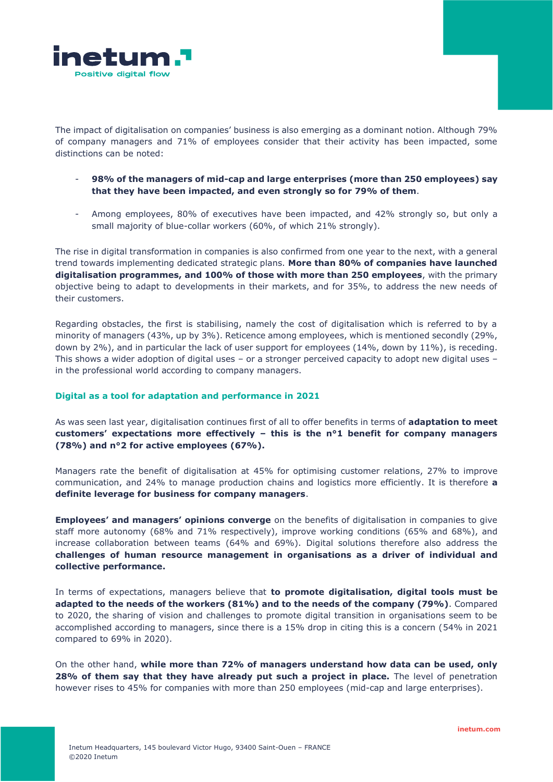

The impact of digitalisation on companies' business is also emerging as a dominant notion. Although 79% of company managers and 71% of employees consider that their activity has been impacted, some distinctions can be noted:

- **98% of the managers of mid-cap and large enterprises (more than 250 employees) say that they have been impacted, and even strongly so for 79% of them**.
- Among employees, 80% of executives have been impacted, and 42% strongly so, but only a small majority of blue-collar workers (60%, of which 21% strongly).

The rise in digital transformation in companies is also confirmed from one year to the next, with a general trend towards implementing dedicated strategic plans. **More than 80% of companies have launched digitalisation programmes, and 100% of those with more than 250 employees**, with the primary objective being to adapt to developments in their markets, and for 35%, to address the new needs of their customers.

Regarding obstacles, the first is stabilising, namely the cost of digitalisation which is referred to by a minority of managers (43%, up by 3%). Reticence among employees, which is mentioned secondly (29%, down by 2%), and in particular the lack of user support for employees (14%, down by 11%), is receding. This shows a wider adoption of digital uses – or a stronger perceived capacity to adopt new digital uses – in the professional world according to company managers.

#### **Digital as a tool for adaptation and performance in 2021**

As was seen last year, digitalisation continues first of all to offer benefits in terms of **adaptation to meet customers' expectations more effectively – this is the n°1 benefit for company managers (78%) and n°2 for active employees (67%).** 

Managers rate the benefit of digitalisation at 45% for optimising customer relations, 27% to improve communication, and 24% to manage production chains and logistics more efficiently. It is therefore **a definite leverage for business for company managers**.

**Employees' and managers' opinions converge** on the benefits of digitalisation in companies to give staff more autonomy (68% and 71% respectively), improve working conditions (65% and 68%), and increase collaboration between teams (64% and 69%). Digital solutions therefore also address the **challenges of human resource management in organisations as a driver of individual and collective performance.**

In terms of expectations, managers believe that **to promote digitalisation, digital tools must be adapted to the needs of the workers (81%) and to the needs of the company (79%)**. Compared to 2020, the sharing of vision and challenges to promote digital transition in organisations seem to be accomplished according to managers, since there is a 15% drop in citing this is a concern (54% in 2021 compared to 69% in 2020).

On the other hand, **while more than 72% of managers understand how data can be used, only 28% of them say that they have already put such a project in place.** The level of penetration however rises to 45% for companies with more than 250 employees (mid-cap and large enterprises).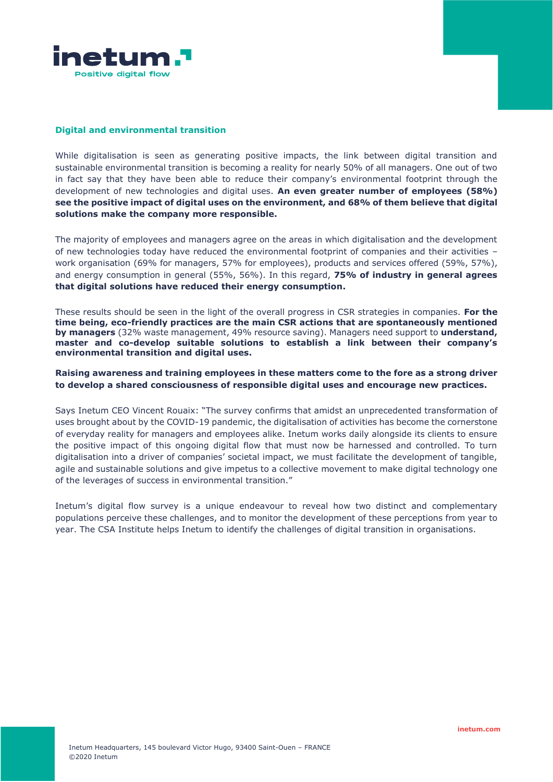

#### **Digital and environmental transition**

While digitalisation is seen as generating positive impacts, the link between digital transition and sustainable environmental transition is becoming a reality for nearly 50% of all managers. One out of two in fact say that they have been able to reduce their company's environmental footprint through the development of new technologies and digital uses. **An even greater number of employees (58%) see the positive impact of digital uses on the environment, and 68% of them believe that digital solutions make the company more responsible.**

The majority of employees and managers agree on the areas in which digitalisation and the development of new technologies today have reduced the environmental footprint of companies and their activities – work organisation (69% for managers, 57% for employees), products and services offered (59%, 57%), and energy consumption in general (55%, 56%). In this regard, **75% of industry in general agrees that digital solutions have reduced their energy consumption.** 

These results should be seen in the light of the overall progress in CSR strategies in companies. **For the time being, eco-friendly practices are the main CSR actions that are spontaneously mentioned by managers** (32% waste management, 49% resource saving). Managers need support to **understand, master and co-develop suitable solutions to establish a link between their company's environmental transition and digital uses.**

## **Raising awareness and training employees in these matters come to the fore as a strong driver to develop a shared consciousness of responsible digital uses and encourage new practices.**

Says Inetum CEO Vincent Rouaix: "The survey confirms that amidst an unprecedented transformation of uses brought about by the COVID-19 pandemic, the digitalisation of activities has become the cornerstone of everyday reality for managers and employees alike. Inetum works daily alongside its clients to ensure the positive impact of this ongoing digital flow that must now be harnessed and controlled. To turn digitalisation into a driver of companies' societal impact, we must facilitate the development of tangible, agile and sustainable solutions and give impetus to a collective movement to make digital technology one of the leverages of success in environmental transition."

Inetum's digital flow survey is a unique endeavour to reveal how two distinct and complementary populations perceive these challenges, and to monitor the development of these perceptions from year to year. The CSA Institute helps Inetum to identify the challenges of digital transition in organisations.